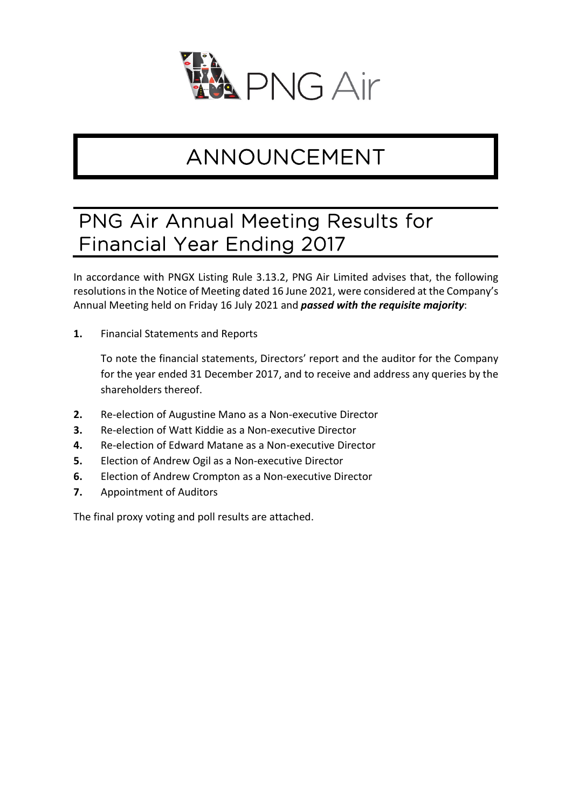

## ANNOUNCEMENT

## PNG Air Annual Meeting Results for Financial Year Ending 2017

In accordance with PNGX Listing Rule 3.13.2, PNG Air Limited advises that, the following resolutions in the Notice of Meeting dated 16 June 2021, were considered at the Company's Annual Meeting held on Friday 16 July 2021 and *passed with the requisite majority*:

**1.** Financial Statements and Reports

To note the financial statements, Directors' report and the auditor for the Company for the year ended 31 December 2017, and to receive and address any queries by the shareholders thereof.

- **2.** Re-election of Augustine Mano as a Non-executive Director
- **3.** Re-election of Watt Kiddie as a Non-executive Director
- **4.** Re-election of Edward Matane as a Non-executive Director
- **5.** Election of Andrew Ogil as a Non-executive Director
- **6.** Election of Andrew Crompton as a Non-executive Director
- **7.** Appointment of Auditors

The final proxy voting and poll results are attached.